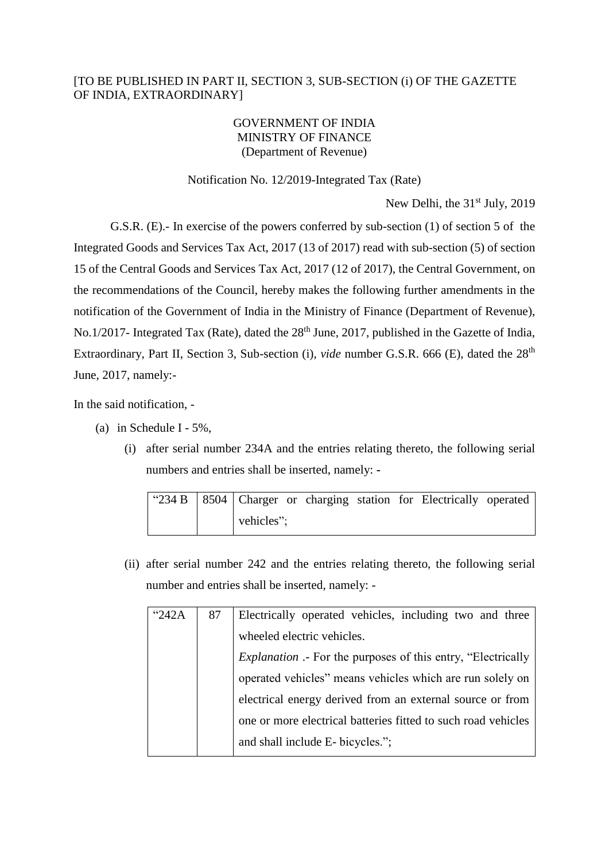## [TO BE PUBLISHED IN PART II, SECTION 3, SUB-SECTION (i) OF THE GAZETTE OF INDIA, EXTRAORDINARY]

## GOVERNMENT OF INDIA MINISTRY OF FINANCE (Department of Revenue)

## Notification No. 12/2019-Integrated Tax (Rate)

New Delhi, the 31<sup>st</sup> July, 2019

G.S.R. (E).- In exercise of the powers conferred by sub-section (1) of section 5 of the Integrated Goods and Services Tax Act, 2017 (13 of 2017) read with sub-section (5) of section 15 of the Central Goods and Services Tax Act, 2017 (12 of 2017), the Central Government, on the recommendations of the Council, hereby makes the following further amendments in the notification of the Government of India in the Ministry of Finance (Department of Revenue), No.1/2017- Integrated Tax (Rate), dated the 28<sup>th</sup> June, 2017, published in the Gazette of India, Extraordinary, Part II, Section 3, Sub-section (i), *vide* number G.S.R. 666 (E), dated the 28th June, 2017, namely:-

In the said notification, -

- (a) in Schedule I 5%,
	- (i) after serial number 234A and the entries relating thereto, the following serial numbers and entries shall be inserted, namely: **-**

|  | "234 B   8504   Charger or charging station for Electrically operated |  |  |  |
|--|-----------------------------------------------------------------------|--|--|--|
|  | vehicles";                                                            |  |  |  |

(ii) after serial number 242 and the entries relating thereto, the following serial number and entries shall be inserted, namely: -

| "242A | 87 | Electrically operated vehicles, including two and three             |  |  |  |  |
|-------|----|---------------------------------------------------------------------|--|--|--|--|
|       |    | wheeled electric vehicles.                                          |  |  |  |  |
|       |    | <i>Explanation</i> .- For the purposes of this entry, "Electrically |  |  |  |  |
|       |    | operated vehicles" means vehicles which are run solely on           |  |  |  |  |
|       |    | electrical energy derived from an external source or from           |  |  |  |  |
|       |    | one or more electrical batteries fitted to such road vehicles       |  |  |  |  |
|       |    | and shall include E- bicycles.";                                    |  |  |  |  |
|       |    |                                                                     |  |  |  |  |